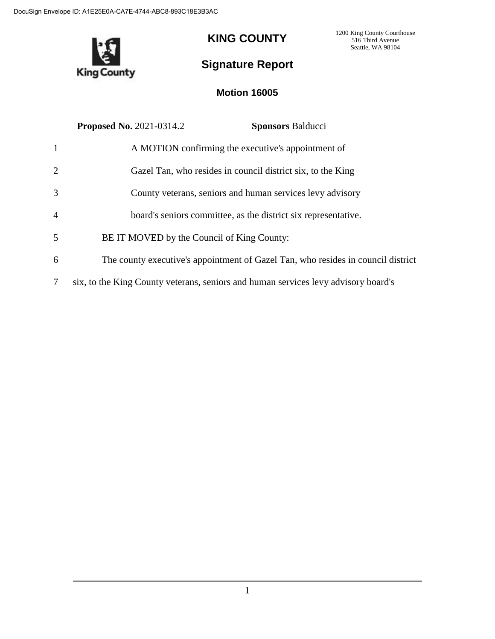

## **KING COUNTY**

1200 King County Courthouse 516 Third Avenue Seattle, WA 98104

# **Signature Report**

### **Motion 16005**

|                | <b>Proposed No. 2021-0314.2</b>            | <b>Sponsors Balducci</b>                                                           |
|----------------|--------------------------------------------|------------------------------------------------------------------------------------|
| -1             |                                            | A MOTION confirming the executive's appointment of                                 |
| 2              |                                            | Gazel Tan, who resides in council district six, to the King                        |
| 3              |                                            | County veterans, seniors and human services levy advisory                          |
| $\overline{4}$ |                                            | board's seniors committee, as the district six representative.                     |
| 5              | BE IT MOVED by the Council of King County: |                                                                                    |
| 6              |                                            | The county executive's appointment of Gazel Tan, who resides in council district   |
| 7              |                                            | six, to the King County veterans, seniors and human services levy advisory board's |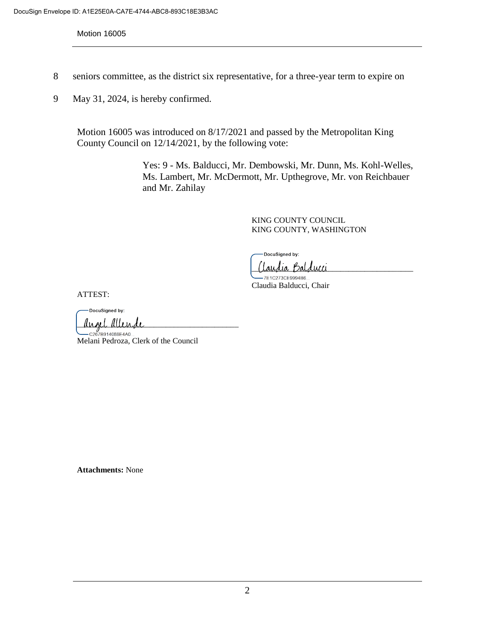Motion 16005

- 8 seniors committee, as the district six representative, for a three-year term to expire on
- 9 May 31, 2024, is hereby confirmed.

Motion 16005 was introduced on 8/17/2021 and passed by the Metropolitan King County Council on 12/14/2021, by the following vote:

> Yes: 9 - Ms. Balducci, Mr. Dembowski, Mr. Dunn, Ms. Kohl-Welles, Ms. Lambert, Mr. McDermott, Mr. Upthegrove, Mr. von Reichbauer and Mr. Zahilay

> > KING COUNTY COUNCIL KING COUNTY, WASHINGTON

DocuSigned by:

'laudia Balducci 7E1C273CE9994B6.

Claudia Balducci, Chair

ATTEST:

DocuSigned by:  $\mu$ nnl  $\mu$ llende

C267B914088E4A0. Melani Pedroza, Clerk of the Council

**Attachments:** None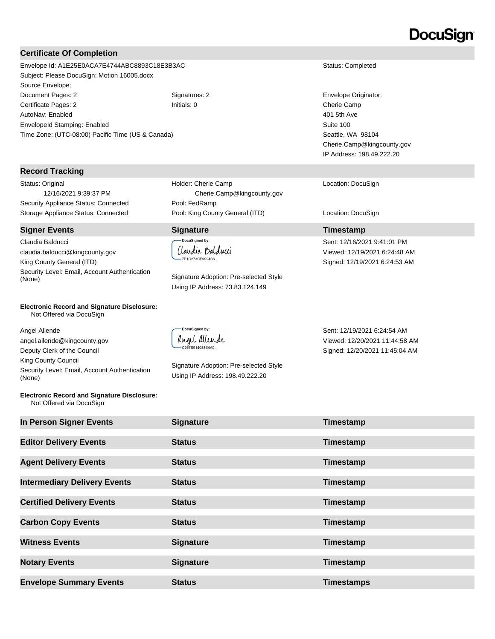# DocuSign

### **Certificate Of Completion**

Envelope Id: A1E25E0ACA7E4744ABC8893C18E3B3AC Status: Completed Subject: Please DocuSign: Motion 16005.docx Source Envelope: Document Pages: 2 Signatures: 2 Signatures: 2 Envelope Originator: Certificate Pages: 2 Initials: 0 Cherie Camp AutoNav: Enabled EnvelopeId Stamping: Enabled Time Zone: (UTC-08:00) Pacific Time (US & Canada)

#### **Record Tracking**

Status: Original 12/16/2021 9:39:37 PM Security Appliance Status: Connected Pool: FedRamp

#### **Signer Events Signature Timestamp**

Claudia Balducci claudia.balducci@kingcounty.gov King County General (ITD) Security Level: Email, Account Authentication<br>(None)

#### **Electronic Record and Signature Disclosure:**  Not Offered via DocuSign

Angel Allende angel.allende@kingcounty.gov Deputy Clerk of the Council King County Council Security Level: Email, Account Authentication (None)

#### **Electronic Record and Signature Disclosure:**  Not Offered via DocuSign

Holder: Cherie Camp Cherie.Camp@kingcounty.gov Storage Appliance Status: Connected Pool: King County General (ITD) Location: DocuSign

> **DocuSigned by:** (laudia Balducci -7E1C273CE9994B6...

Signature Adoption: Pre-selected Style Using IP Address: 73.83.124.149

DocuSianed by: angel allende C267B914088E4A0..

Signature Adoption: Pre-selected Style Using IP Address: 198.49.222.20

401 5th Ave Suite 100 Seattle, WA 98104 Cherie.Camp@kingcounty.gov IP Address: 198.49.222.20

Location: DocuSign

Sent: 12/16/2021 9:41:01 PM Viewed: 12/19/2021 6:24:48 AM Signed: 12/19/2021 6:24:53 AM

Sent: 12/19/2021 6:24:54 AM Viewed: 12/20/2021 11:44:58 AM Signed: 12/20/2021 11:45:04 AM

| In Person Signer Events             | <b>Signature</b> | Timestamp         |
|-------------------------------------|------------------|-------------------|
| <b>Editor Delivery Events</b>       | <b>Status</b>    | Timestamp         |
| <b>Agent Delivery Events</b>        | <b>Status</b>    | Timestamp         |
| <b>Intermediary Delivery Events</b> | <b>Status</b>    | Timestamp         |
| <b>Certified Delivery Events</b>    | <b>Status</b>    | Timestamp         |
| <b>Carbon Copy Events</b>           | <b>Status</b>    | Timestamp         |
| <b>Witness Events</b>               | <b>Signature</b> | Timestamp         |
| <b>Notary Events</b>                | <b>Signature</b> | Timestamp         |
| <b>Envelope Summary Events</b>      | <b>Status</b>    | <b>Timestamps</b> |